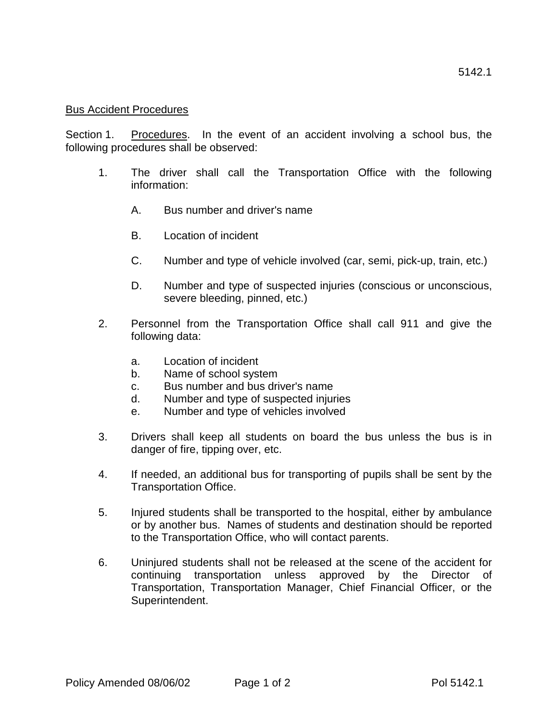## Bus Accident Procedures

Section 1. Procedures. In the event of an accident involving a school bus, the following procedures shall be observed:

- 1. The driver shall call the Transportation Office with the following information:
	- A. Bus number and driver's name
	- B. Location of incident
	- C. Number and type of vehicle involved (car, semi, pick-up, train, etc.)
	- D. Number and type of suspected injuries (conscious or unconscious, severe bleeding, pinned, etc.)
- 2. Personnel from the Transportation Office shall call 911 and give the following data:
	- a. Location of incident
	- b. Name of school system
	- c. Bus number and bus driver's name
	- d. Number and type of suspected injuries
	- e. Number and type of vehicles involved
- 3. Drivers shall keep all students on board the bus unless the bus is in danger of fire, tipping over, etc.
- 4. If needed, an additional bus for transporting of pupils shall be sent by the Transportation Office.
- 5. Injured students shall be transported to the hospital, either by ambulance or by another bus. Names of students and destination should be reported to the Transportation Office, who will contact parents.
- 6. Uninjured students shall not be released at the scene of the accident for continuing transportation unless approved by the Director of Transportation, Transportation Manager, Chief Financial Officer, or the Superintendent.